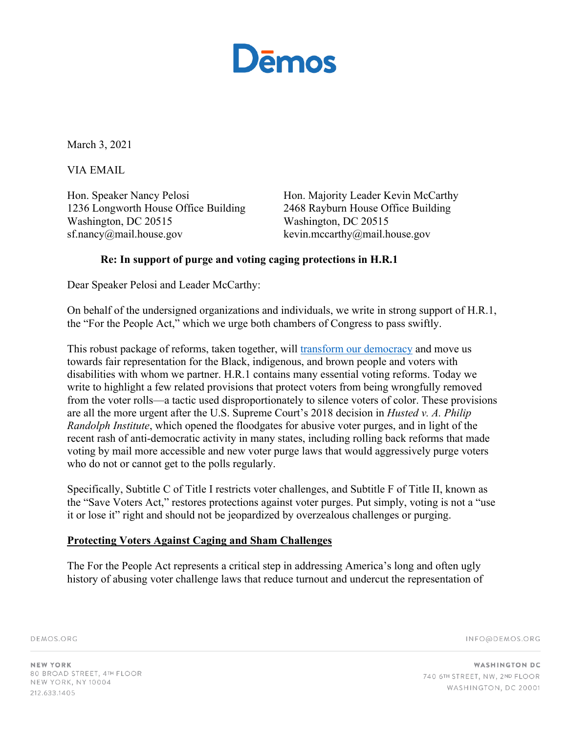

March 3, 2021

VIA EMAIL

Hon. Speaker Nancy Pelosi 1236 Longworth House Office Building Washington, DC 20515 sf.nancy@mail.house.gov

Hon. Majority Leader Kevin McCarthy 2468 Rayburn House Office Building Washington, DC 20515 kevin.mccarthy@mail.house.gov

# **Re: In support of purge and voting caging protections in H.R.1**

Dear Speaker Pelosi and Leader McCarthy:

On behalf of the undersigned organizations and individuals, we write in strong support of H.R.1, the "For the People Act," which we urge both chambers of Congress to pass swiftly.

This robust package of reforms, taken together, will transform our democracy and move us towards fair representation for the Black, indigenous, and brown people and voters with disabilities with whom we partner. H.R.1 contains many essential voting reforms. Today we write to highlight a few related provisions that protect voters from being wrongfully removed from the voter rolls—a tactic used disproportionately to silence voters of color. These provisions are all the more urgent after the U.S. Supreme Court's 2018 decision in *Husted v. A. Philip Randolph Institute*, which opened the floodgates for abusive voter purges, and in light of the recent rash of anti-democratic activity in many states, including rolling back reforms that made voting by mail more accessible and new voter purge laws that would aggressively purge voters who do not or cannot get to the polls regularly.

Specifically, Subtitle C of Title I restricts voter challenges, and Subtitle F of Title II, known as the "Save Voters Act," restores protections against voter purges. Put simply, voting is not a "use it or lose it" right and should not be jeopardized by overzealous challenges or purging.

## **Protecting Voters Against Caging and Sham Challenges**

The For the People Act represents a critical step in addressing America's long and often ugly history of abusing voter challenge laws that reduce turnout and undercut the representation of

DEMOS.ORG

INFO@DEMOS.ORG

**NEW YORK** 80 BROAD STREET, 4TH FLOOR NEW YORK, NY 10004 212.633.1405

**WASHINGTON DC** 740 6TH STREET, NW, 2ND FLOOR WASHINGTON, DC 20001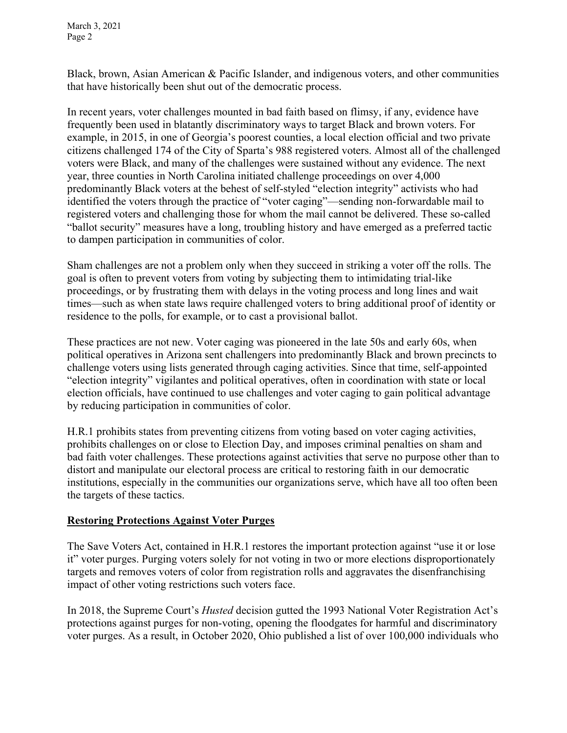Black, brown, Asian American & Pacific Islander, and indigenous voters, and other communities that have historically been shut out of the democratic process.

In recent years, voter challenges mounted in bad faith based on flimsy, if any, evidence have frequently been used in blatantly discriminatory ways to target Black and brown voters. For example, in 2015, in one of Georgia's poorest counties, a local election official and two private citizens challenged 174 of the City of Sparta's 988 registered voters. Almost all of the challenged voters were Black, and many of the challenges were sustained without any evidence. The next year, three counties in North Carolina initiated challenge proceedings on over 4,000 predominantly Black voters at the behest of self-styled "election integrity" activists who had identified the voters through the practice of "voter caging"—sending non-forwardable mail to registered voters and challenging those for whom the mail cannot be delivered. These so-called "ballot security" measures have a long, troubling history and have emerged as a preferred tactic to dampen participation in communities of color.

Sham challenges are not a problem only when they succeed in striking a voter off the rolls. The goal is often to prevent voters from voting by subjecting them to intimidating trial-like proceedings, or by frustrating them with delays in the voting process and long lines and wait times—such as when state laws require challenged voters to bring additional proof of identity or residence to the polls, for example, or to cast a provisional ballot.

These practices are not new. Voter caging was pioneered in the late 50s and early 60s, when political operatives in Arizona sent challengers into predominantly Black and brown precincts to challenge voters using lists generated through caging activities. Since that time, self-appointed "election integrity" vigilantes and political operatives, often in coordination with state or local election officials, have continued to use challenges and voter caging to gain political advantage by reducing participation in communities of color.

H.R.1 prohibits states from preventing citizens from voting based on voter caging activities, prohibits challenges on or close to Election Day, and imposes criminal penalties on sham and bad faith voter challenges. These protections against activities that serve no purpose other than to distort and manipulate our electoral process are critical to restoring faith in our democratic institutions, especially in the communities our organizations serve, which have all too often been the targets of these tactics.

## **Restoring Protections Against Voter Purges**

The Save Voters Act, contained in H.R.1 restores the important protection against "use it or lose it" voter purges. Purging voters solely for not voting in two or more elections disproportionately targets and removes voters of color from registration rolls and aggravates the disenfranchising impact of other voting restrictions such voters face.

In 2018, the Supreme Court's *Husted* decision gutted the 1993 National Voter Registration Act's protections against purges for non-voting, opening the floodgates for harmful and discriminatory voter purges. As a result, in October 2020, Ohio published a list of over 100,000 individuals who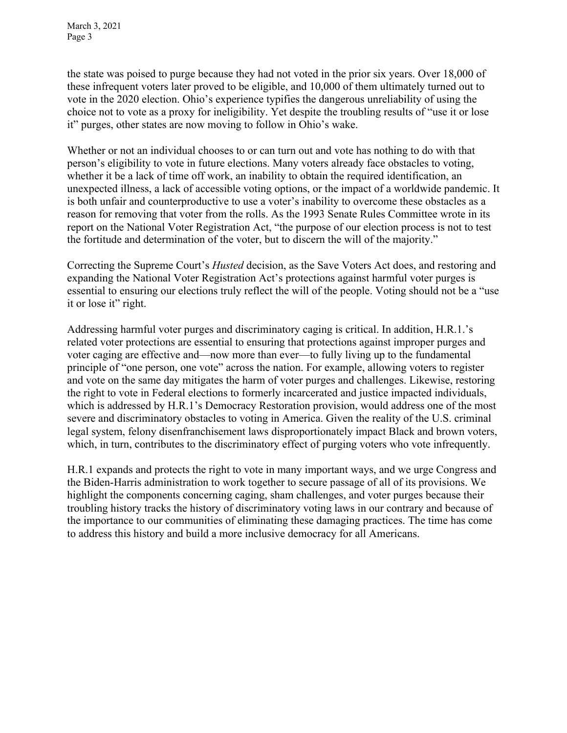the state was poised to purge because they had not voted in the prior six years. Over 18,000 of these infrequent voters later proved to be eligible, and 10,000 of them ultimately turned out to vote in the 2020 election. Ohio's experience typifies the dangerous unreliability of using the choice not to vote as a proxy for ineligibility. Yet despite the troubling results of "use it or lose it" purges, other states are now moving to follow in Ohio's wake.

Whether or not an individual chooses to or can turn out and vote has nothing to do with that person's eligibility to vote in future elections. Many voters already face obstacles to voting, whether it be a lack of time off work, an inability to obtain the required identification, an unexpected illness, a lack of accessible voting options, or the impact of a worldwide pandemic. It is both unfair and counterproductive to use a voter's inability to overcome these obstacles as a reason for removing that voter from the rolls. As the 1993 Senate Rules Committee wrote in its report on the National Voter Registration Act, "the purpose of our election process is not to test the fortitude and determination of the voter, but to discern the will of the majority."

Correcting the Supreme Court's *Husted* decision, as the Save Voters Act does, and restoring and expanding the National Voter Registration Act's protections against harmful voter purges is essential to ensuring our elections truly reflect the will of the people. Voting should not be a "use it or lose it" right.

Addressing harmful voter purges and discriminatory caging is critical. In addition, H.R.1.'s related voter protections are essential to ensuring that protections against improper purges and voter caging are effective and—now more than ever—to fully living up to the fundamental principle of "one person, one vote" across the nation. For example, allowing voters to register and vote on the same day mitigates the harm of voter purges and challenges. Likewise, restoring the right to vote in Federal elections to formerly incarcerated and justice impacted individuals, which is addressed by H.R.1's Democracy Restoration provision, would address one of the most severe and discriminatory obstacles to voting in America. Given the reality of the U.S. criminal legal system, felony disenfranchisement laws disproportionately impact Black and brown voters, which, in turn, contributes to the discriminatory effect of purging voters who vote infrequently.

H.R.1 expands and protects the right to vote in many important ways, and we urge Congress and the Biden-Harris administration to work together to secure passage of all of its provisions. We highlight the components concerning caging, sham challenges, and voter purges because their troubling history tracks the history of discriminatory voting laws in our contrary and because of the importance to our communities of eliminating these damaging practices. The time has come to address this history and build a more inclusive democracy for all Americans.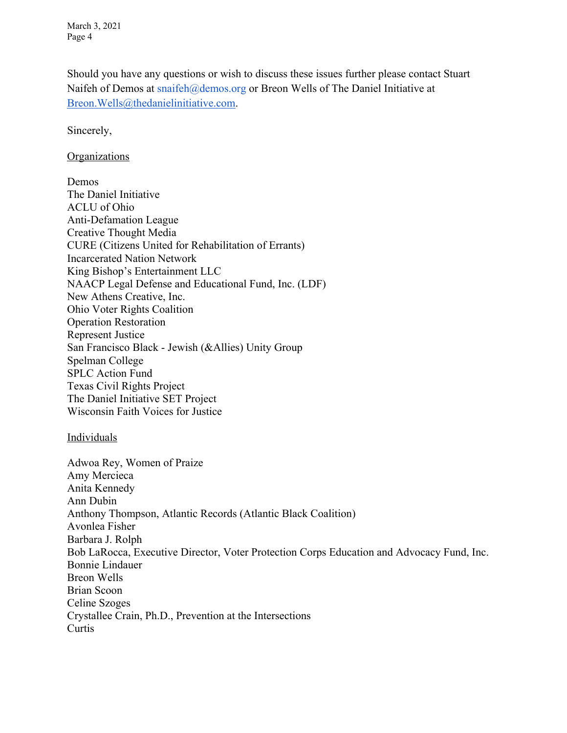Should you have any questions or wish to discuss these issues further please contact Stuart Naifeh of Demos at snaifeh@demos.org or Breon Wells of The Daniel Initiative at Breon.Wells@thedanielinitiative.com.

Sincerely,

#### Organizations

Demos The Daniel Initiative ACLU of Ohio Anti-Defamation League Creative Thought Media CURE (Citizens United for Rehabilitation of Errants) Incarcerated Nation Network King Bishop's Entertainment LLC NAACP Legal Defense and Educational Fund, Inc. (LDF) New Athens Creative, Inc. Ohio Voter Rights Coalition Operation Restoration Represent Justice San Francisco Black - Jewish (&Allies) Unity Group Spelman College SPLC Action Fund Texas Civil Rights Project The Daniel Initiative SET Project Wisconsin Faith Voices for Justice

#### **Individuals**

Adwoa Rey, Women of Praize Amy Mercieca Anita Kennedy Ann Dubin Anthony Thompson, Atlantic Records (Atlantic Black Coalition) Avonlea Fisher Barbara J. Rolph Bob LaRocca, Executive Director, Voter Protection Corps Education and Advocacy Fund, Inc. Bonnie Lindauer Breon Wells Brian Scoon Celine Szoges Crystallee Crain, Ph.D., Prevention at the Intersections Curtis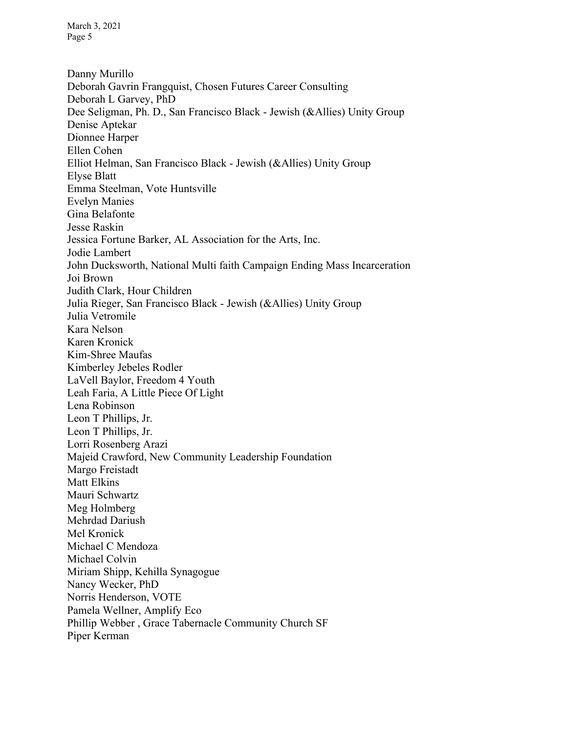Danny Murillo Deborah Gavrin Frangquist, Chosen Futures Career Consulting Deborah L Garvey, PhD Dee Seligman, Ph. D., San Francisco Black - Jewish (&Allies) Unity Group Denise Aptekar Dionnee Harper Ellen Cohen Elliot Helman, San Francisco Black - Jewish (&Allies) Unity Group Elyse Blatt Emma Steelman, Vote Huntsville Evelyn Manies Gina Belafonte Jesse Raskin Jessica Fortune Barker, AL Association for the Arts, Inc. Jodie Lambert John Ducksworth, National Multi faith Campaign Ending Mass Incarceration Joi Brown Judith Clark, Hour Children Julia Rieger, San Francisco Black - Jewish (&Allies) Unity Group Julia Vetromile Kara Nelson Karen Kronick Kim-Shree Maufas Kimberley Jebeles Rodler LaVell Baylor, Freedom 4 Youth Leah Faria, A Little Piece Of Light Lena Robinson Leon T Phillips, Jr. Leon T Phillips, Jr. Lorri Rosenberg Arazi Majeid Crawford, New Community Leadership Foundation Margo Freistadt Matt Elkins Mauri Schwartz Meg Holmberg Mehrdad Dariush Mel Kronick Michael C Mendoza Michael Colvin Miriam Shipp, Kehilla Synagogue Nancy Wecker, PhD Norris Henderson, VOTE Pamela Wellner, Amplify Eco Phillip Webber , Grace Tabernacle Community Church SF Piper Kerman